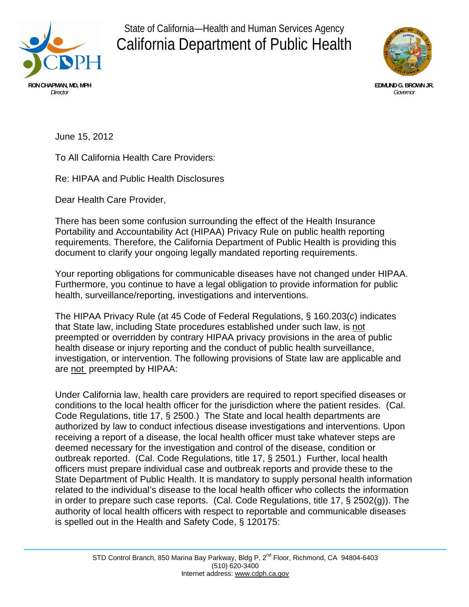

State of California—Health and Human Services Agency California Department of Public Health



June 15, 2012

To All California Health Care Providers:

Re: HIPAA and Public Health Disclosures

Dear Health Care Provider,

There has been some confusion surrounding the effect of the Health Insurance Portability and Accountability Act (HIPAA) Privacy Rule on public health reporting requirements. Therefore, the California Department of Public Health is providing this document to clarify your ongoing legally mandated reporting requirements.

Your reporting obligations for communicable diseases have not changed under HIPAA. Furthermore, you continue to have a legal obligation to provide information for public health, surveillance/reporting, investigations and interventions.

The HIPAA Privacy Rule (at 45 Code of Federal Regulations, § 160.203(c) indicates that State law, including State procedures established under such law, is not preempted or overridden by contrary HIPAA privacy provisions in the area of public health disease or injury reporting and the conduct of public health surveillance, investigation, or intervention. The following provisions of State law are applicable and are not preempted by HIPAA:

Under California law, health care providers are required to report specified diseases or conditions to the local health officer for the jurisdiction where the patient resides. (Cal. Code Regulations, title 17, § 2500.) The State and local health departments are authorized by law to conduct infectious disease investigations and interventions. Upon receiving a report of a disease, the local health officer must take whatever steps are deemed necessary for the investigation and control of the disease, condition or outbreak reported. (Cal. Code Regulations, title 17, § 2501.) Further, local health officers must prepare individual case and outbreak reports and provide these to the State Department of Public Health. It is mandatory to supply personal health information related to the individual's disease to the local health officer who collects the information in order to prepare such case reports. (Cal. Code Regulations, title 17, § 2502(g)). The authority of local health officers with respect to reportable and communicable diseases is spelled out in the Health and Safety Code, § 120175: